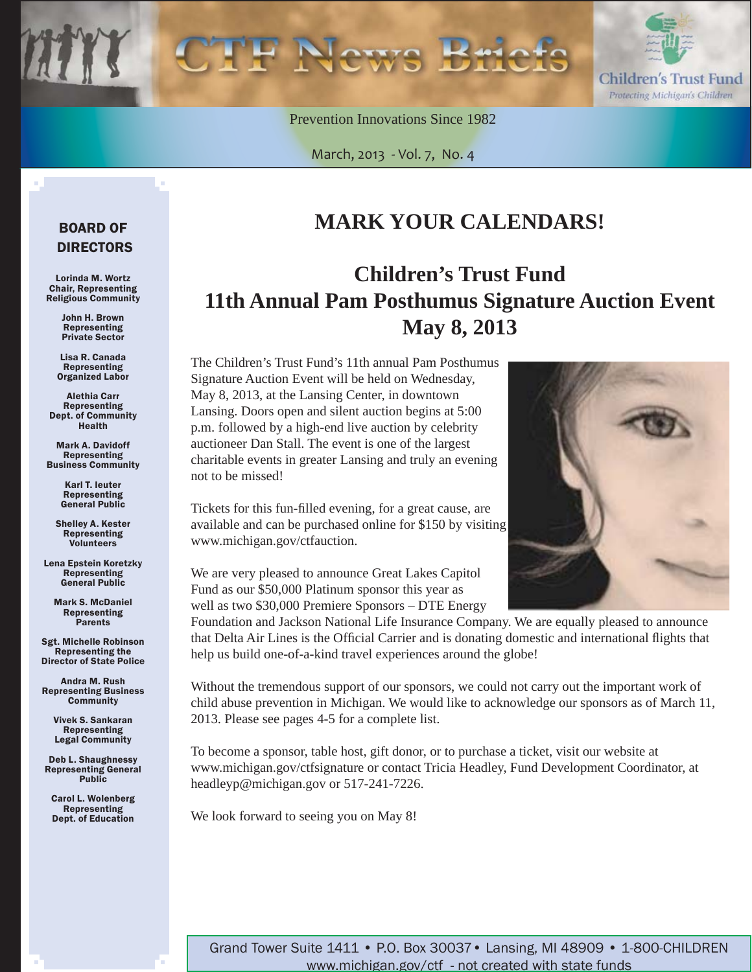Prevention Innovations Since 1982

March, 2013 - Vol. 7, No. 4



## BOARD OF DIRECTORS

Lorinda M. Wortz Chair, Representing Religious Community

> John H. Brown Representing Private Sector

Lisa R. Canada Representing Organized Labor

Alethia Carr Representing Dept. of Community Health

Mark A. Davidoff Representing Business Community

> Karl T. Ieuter Representing General Public

Shelley A. Kester Representing Volunteers

Lena Epstein Koretzky Representing General Public

Mark S. McDaniel Representing **Parents** 

Sgt. Michelle Robinson Representing the Director of State Police

Andra M. Rush Representing Business **Community** 

Vivek S. Sankaran Representing Legal Community

Deb L. Shaughnessy Representing General Public

Carol L. Wolenberg Representing Dept. of Education

# **MARK YOUR CALENDARS!**

# **Children's Trust Fund 11th Annual Pam Posthumus Signature Auction Event May 8, 2013**

The Children's Trust Fund's 11th annual Pam Posthumus Signature Auction Event will be held on Wednesday, May 8, 2013, at the Lansing Center, in downtown Lansing. Doors open and silent auction begins at 5:00 p.m. followed by a high-end live auction by celebrity auctioneer Dan Stall. The event is one of the largest charitable events in greater Lansing and truly an evening not to be missed!

Tickets for this fun-filled evening, for a great cause, are available and can be purchased online for \$150 by visiting www.michigan.gov/ctfauction.

We are very pleased to announce Great Lakes Capitol Fund as our \$50,000 Platinum sponsor this year as well as two \$30,000 Premiere Sponsors – DTE Energy

Foundation and Jackson National Life Insurance Company. We are equally pleased to announce that Delta Air Lines is the Official Carrier and is donating domestic and international flights that help us build one-of-a-kind travel experiences around the globe!

Without the tremendous support of our sponsors, we could not carry out the important work of child abuse prevention in Michigan. We would like to acknowledge our sponsors as of March 11, 2013. Please see pages 4-5 for a complete list.

To become a sponsor, table host, gift donor, or to purchase a ticket, visit our website at www.michigan.gov/ctfsignature or contact Tricia Headley, Fund Development Coordinator, at headleyp@michigan.gov or 517-241-7226.

We look forward to seeing you on May 8!

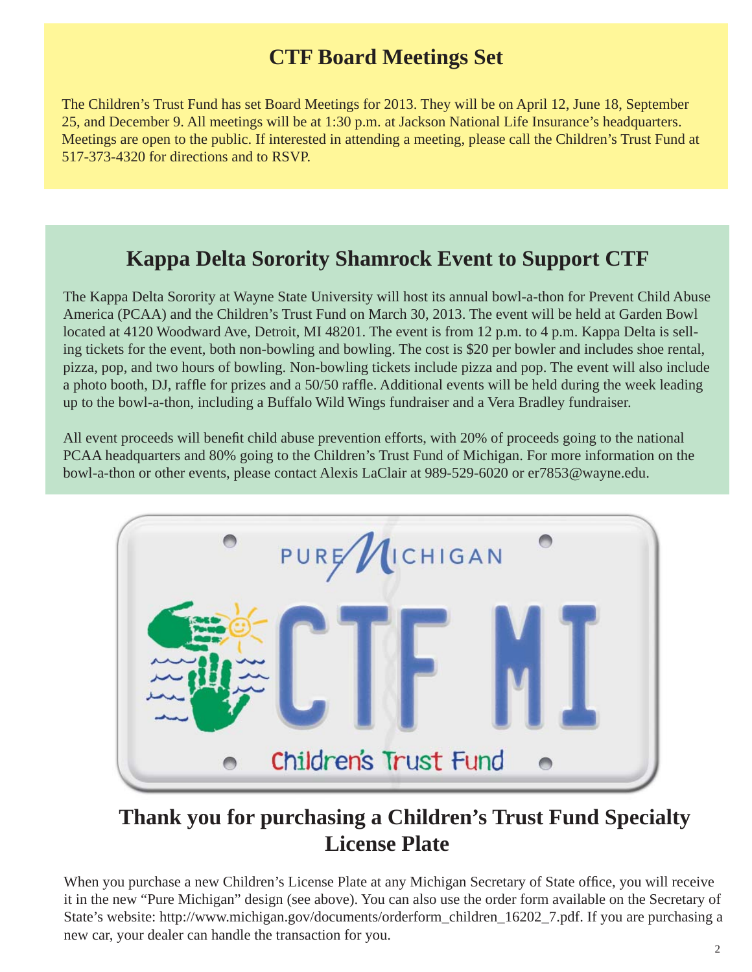# **CTF Board Meetings Set**

The Children's Trust Fund has set Board Meetings for 2013. They will be on April 12, June 18, September 25, and December 9. All meetings will be at 1:30 p.m. at Jackson National Life Insurance's headquarters. Meetings are open to the public. If interested in attending a meeting, please call the Children's Trust Fund at 517-373-4320 for directions and to RSVP.

## **Kappa Delta Sorority Shamrock Event to Support CTF**

The Kappa Delta Sorority at Wayne State University will host its annual bowl-a-thon for Prevent Child Abuse America (PCAA) and the Children's Trust Fund on March 30, 2013. The event will be held at Garden Bowl located at 4120 Woodward Ave, Detroit, MI 48201. The event is from 12 p.m. to 4 p.m. Kappa Delta is selling tickets for the event, both non-bowling and bowling. The cost is \$20 per bowler and includes shoe rental, pizza, pop, and two hours of bowling. Non-bowling tickets include pizza and pop. The event will also include a photo booth, DJ, raffle for prizes and a 50/50 raffle. Additional events will be held during the week leading up to the bowl-a-thon, including a Buffalo Wild Wings fundraiser and a Vera Bradley fundraiser.

All event proceeds will benefit child abuse prevention efforts, with 20% of proceeds going to the national PCAA headquarters and 80% going to the Children's Trust Fund of Michigan. For more information on the bowl-a-thon or other events, please contact Alexis LaClair at 989-529-6020 or er7853@wayne.edu.



# **Thank you for purchasing a Children's Trust Fund Specialty License Plate**

When you purchase a new Children's License Plate at any Michigan Secretary of State office, you will receive it in the new "Pure Michigan" design (see above). You can also use the order form available on the Secretary of State's website: http://www.michigan.gov/documents/orderform\_children\_16202\_7.pdf. If you are purchasing a new car, your dealer can handle the transaction for you.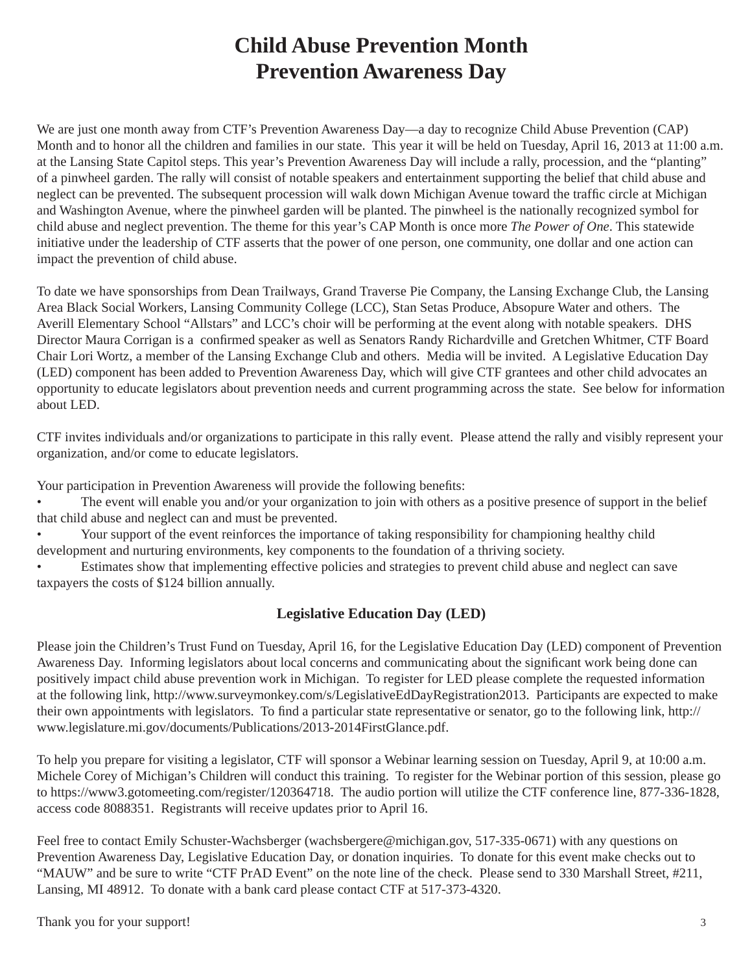# **Child Abuse Prevention Month Prevention Awareness Day**

We are just one month away from CTF's Prevention Awareness Day—a day to recognize Child Abuse Prevention (CAP) Month and to honor all the children and families in our state. This year it will be held on Tuesday, April 16, 2013 at 11:00 a.m. at the Lansing State Capitol steps. This year's Prevention Awareness Day will include a rally, procession, and the "planting" of a pinwheel garden. The rally will consist of notable speakers and entertainment supporting the belief that child abuse and neglect can be prevented. The subsequent procession will walk down Michigan Avenue toward the traffic circle at Michigan and Washington Avenue, where the pinwheel garden will be planted. The pinwheel is the nationally recognized symbol for child abuse and neglect prevention. The theme for this year's CAP Month is once more *The Power of One*. This statewide initiative under the leadership of CTF asserts that the power of one person, one community, one dollar and one action can impact the prevention of child abuse.

To date we have sponsorships from Dean Trailways, Grand Traverse Pie Company, the Lansing Exchange Club, the Lansing Area Black Social Workers, Lansing Community College (LCC), Stan Setas Produce, Absopure Water and others. The Averill Elementary School "Allstars" and LCC's choir will be performing at the event along with notable speakers. DHS Director Maura Corrigan is a confirmed speaker as well as Senators Randy Richardville and Gretchen Whitmer, CTF Board Chair Lori Wortz, a member of the Lansing Exchange Club and others. Media will be invited. A Legislative Education Day (LED) component has been added to Prevention Awareness Day, which will give CTF grantees and other child advocates an opportunity to educate legislators about prevention needs and current programming across the state. See below for information about LED.

CTF invites individuals and/or organizations to participate in this rally event. Please attend the rally and visibly represent your organization, and/or come to educate legislators.

Your participation in Prevention Awareness will provide the following benefits:

• The event will enable you and/or your organization to join with others as a positive presence of support in the belief that child abuse and neglect can and must be prevented.

• Your support of the event reinforces the importance of taking responsibility for championing healthy child development and nurturing environments, key components to the foundation of a thriving society.

• Estimates show that implementing effective policies and strategies to prevent child abuse and neglect can save taxpayers the costs of \$124 billion annually.

## **Legislative Education Day (LED)**

Please join the Children's Trust Fund on Tuesday, April 16, for the Legislative Education Day (LED) component of Prevention Awareness Day. Informing legislators about local concerns and communicating about the significant work being done can positively impact child abuse prevention work in Michigan. To register for LED please complete the requested information at the following link, http://www.surveymonkey.com/s/LegislativeEdDayRegistration2013. Participants are expected to make their own appointments with legislators. To find a particular state representative or senator, go to the following link, http:// www.legislature.mi.gov/documents/Publications/2013-2014FirstGlance.pdf.

To help you prepare for visiting a legislator, CTF will sponsor a Webinar learning session on Tuesday, April 9, at 10:00 a.m. Michele Corey of Michigan's Children will conduct this training. To register for the Webinar portion of this session, please go to https://www3.gotomeeting.com/register/120364718. The audio portion will utilize the CTF conference line, 877-336-1828, access code 8088351. Registrants will receive updates prior to April 16.

Feel free to contact Emily Schuster-Wachsberger (wachsbergere@michigan.gov, 517-335-0671) with any questions on Prevention Awareness Day, Legislative Education Day, or donation inquiries. To donate for this event make checks out to "MAUW" and be sure to write "CTF PrAD Event" on the note line of the check. Please send to 330 Marshall Street, #211, Lansing, MI 48912. To donate with a bank card please contact CTF at 517-373-4320.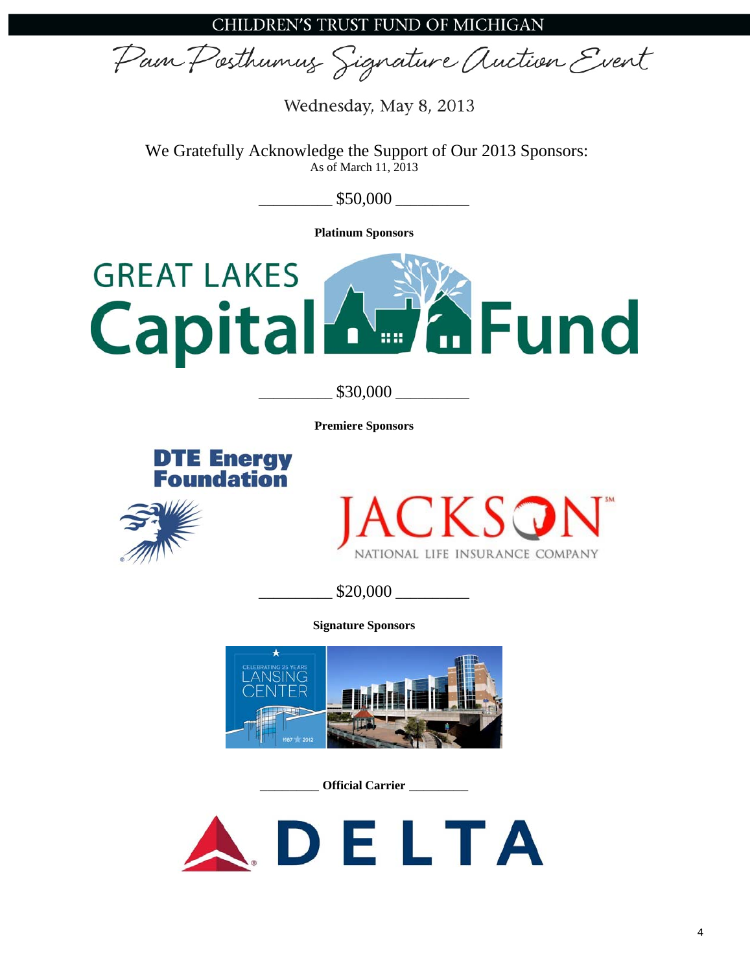Pain Posthumus Signature Auction Event

Wednesday, May 8, 2013

We Gratefully Acknowledge the Support of Our 2013 Sponsors: As of March 11, 2013

 $$50,000$ 

**Platinum Sponsors** 



\_\_\_\_\_\_\_\_\_\_ \$30,000 \_\_\_\_\_\_\_\_\_\_

**Premiere Sponsors** 







\_\_\_\_\_\_\_\_\_\_ \$20,000 \_\_\_\_\_\_\_\_\_\_

**Signature Sponsors** 



\_\_\_\_\_\_\_\_ **Official Carrier** \_\_\_\_\_\_\_\_

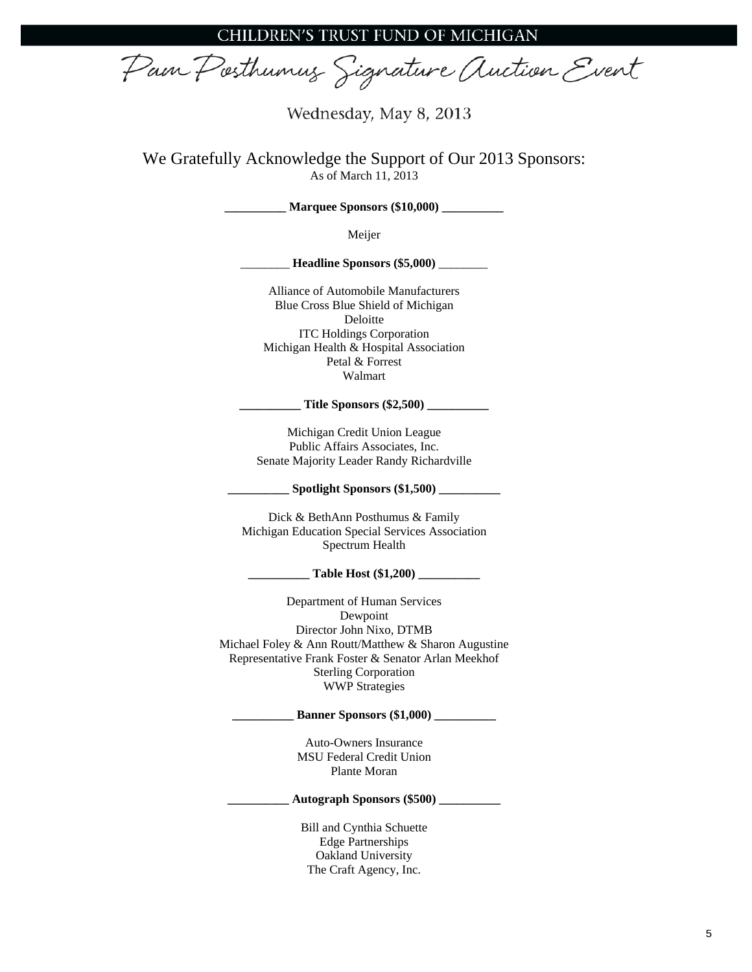Pain Posthumus Signature Auction Event

Wednesday, May 8, 2013

We Gratefully Acknowledge the Support of Our 2013 Sponsors: As of March 11, 2013

**Marquee Sponsors (\$10,000)** \_\_\_\_\_

Meijer

\_\_\_\_\_\_\_\_ **Headline Sponsors (\$5,000)** \_\_\_\_\_\_\_\_

Alliance of Automobile Manufacturers Blue Cross Blue Shield of Michigan Deloitte ITC Holdings Corporation Michigan Health & Hospital Association Petal & Forrest Walmart

**\_\_\_\_\_\_\_\_\_\_ Title Sponsors (\$2,500) \_\_\_\_\_\_\_\_\_\_** 

Michigan Credit Union League Public Affairs Associates, Inc. Senate Majority Leader Randy Richardville

**\_\_\_\_\_\_\_\_\_\_ Spotlight Sponsors (\$1,500) \_\_\_\_\_\_\_\_\_\_** 

Dick & BethAnn Posthumus & Family Michigan Education Special Services Association Spectrum Health

**\_\_\_\_\_\_\_\_\_\_ Table Host (\$1,200) \_\_\_\_\_\_\_\_\_\_** 

Department of Human Services Dewpoint Director John Nixo, DTMB Michael Foley & Ann Routt/Matthew & Sharon Augustine Representative Frank Foster & Senator Arlan Meekhof Sterling Corporation WWP Strategies

**\_\_\_\_\_\_\_\_\_\_ Banner Sponsors (\$1,000) \_\_\_\_\_\_\_\_\_\_** 

Auto-Owners Insurance MSU Federal Credit Union Plante Moran

**\_\_\_\_\_\_\_\_\_\_ Autograph Sponsors (\$500) \_\_\_\_\_\_\_\_\_\_** 

Bill and Cynthia Schuette Edge Partnerships Oakland University The Craft Agency, Inc.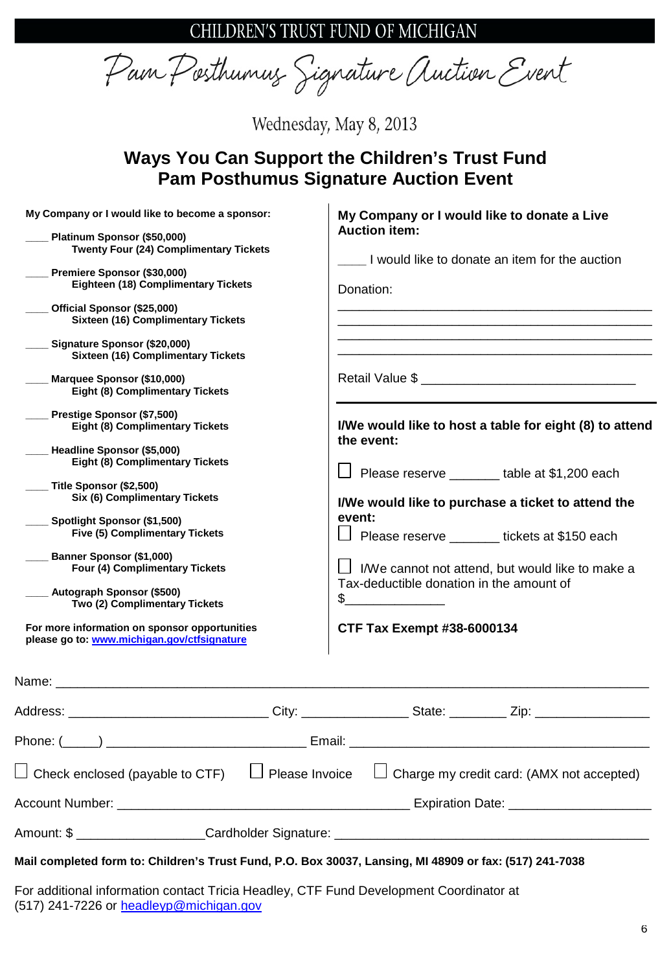CHILDREN'S TRUST FUND OF MICHIGAN

Pam Posthumus Signature Auction Event

Wednesday, May 8, 2013

## **Ways You Can Support the Children's Trust Fund Pam Posthumus Signature Auction Event**

| My Company or I would like to become a sponsor:<br>Platinum Sponsor (\$50,000)<br>Twenty Four (24) Complimentary Tickets<br>Premiere Sponsor (\$30,000)<br>Eighteen (18) Complimentary Tickets<br>Official Sponsor (\$25,000)<br><b>Sixteen (16) Complimentary Tickets</b><br>Signature Sponsor (\$20,000)<br><b>Sixteen (16) Complimentary Tickets</b><br>___ Marquee Sponsor (\$10,000)<br><b>Eight (8) Complimentary Tickets</b><br>Prestige Sponsor (\$7,500)<br><b>Eight (8) Complimentary Tickets</b><br>Headline Sponsor (\$5,000)<br><b>Eight (8) Complimentary Tickets</b><br>___ Title Sponsor (\$2,500)<br>Six (6) Complimentary Tickets<br>Spotlight Sponsor (\$1,500)<br><b>Five (5) Complimentary Tickets</b><br>Banner Sponsor (\$1,000)<br>Four (4) Complimentary Tickets<br>Autograph Sponsor (\$500)<br>Two (2) Complimentary Tickets<br>For more information on sponsor opportunities<br>please go to: www.michigan.gov/ctfsignature | My Company or I would like to donate a Live<br><b>Auction item:</b><br>I would like to donate an item for the auction<br>Donation:<br>I/We would like to host a table for eight (8) to attend<br>the event:<br>Please reserve _______ table at \$1,200 each<br>I/We would like to purchase a ticket to attend the<br>event:<br>$\vert$ $\vert$<br>Please reserve _______ tickets at \$150 each<br>I/We cannot not attend, but would like to make a<br>Tax-deductible donation in the amount of<br>$\frac{1}{\sqrt{1-\frac{1}{2}}}\frac{1}{\sqrt{1-\frac{1}{2}}}\frac{1}{\sqrt{1-\frac{1}{2}}}\frac{1}{\sqrt{1-\frac{1}{2}}}\frac{1}{\sqrt{1-\frac{1}{2}}}\frac{1}{\sqrt{1-\frac{1}{2}}}\frac{1}{\sqrt{1-\frac{1}{2}}}\frac{1}{\sqrt{1-\frac{1}{2}}}\frac{1}{\sqrt{1-\frac{1}{2}}}\frac{1}{\sqrt{1-\frac{1}{2}}}\frac{1}{\sqrt{1-\frac{1}{2}}}\frac{1}{\sqrt{1-\frac{1}{2}}}\frac{1}{\sqrt{1-\frac{1}{2}}}\frac{1}{\sqrt{1-\frac{$<br>CTF Tax Exempt #38-6000134 |
|---------------------------------------------------------------------------------------------------------------------------------------------------------------------------------------------------------------------------------------------------------------------------------------------------------------------------------------------------------------------------------------------------------------------------------------------------------------------------------------------------------------------------------------------------------------------------------------------------------------------------------------------------------------------------------------------------------------------------------------------------------------------------------------------------------------------------------------------------------------------------------------------------------------------------------------------------------|-----------------------------------------------------------------------------------------------------------------------------------------------------------------------------------------------------------------------------------------------------------------------------------------------------------------------------------------------------------------------------------------------------------------------------------------------------------------------------------------------------------------------------------------------------------------------------------------------------------------------------------------------------------------------------------------------------------------------------------------------------------------------------------------------------------------------------------------------------------------------------------------------------------------------------------------------------------------|
|                                                                                                                                                                                                                                                                                                                                                                                                                                                                                                                                                                                                                                                                                                                                                                                                                                                                                                                                                         |                                                                                                                                                                                                                                                                                                                                                                                                                                                                                                                                                                                                                                                                                                                                                                                                                                                                                                                                                                 |
|                                                                                                                                                                                                                                                                                                                                                                                                                                                                                                                                                                                                                                                                                                                                                                                                                                                                                                                                                         | Address: _________________________________City: __________________State: __________Zip: ______________________                                                                                                                                                                                                                                                                                                                                                                                                                                                                                                                                                                                                                                                                                                                                                                                                                                                  |
|                                                                                                                                                                                                                                                                                                                                                                                                                                                                                                                                                                                                                                                                                                                                                                                                                                                                                                                                                         |                                                                                                                                                                                                                                                                                                                                                                                                                                                                                                                                                                                                                                                                                                                                                                                                                                                                                                                                                                 |
| $\perp$ Check enclosed (payable to CTF) $\quad \Box$ Please Invoice                                                                                                                                                                                                                                                                                                                                                                                                                                                                                                                                                                                                                                                                                                                                                                                                                                                                                     | $\Box$ Charge my credit card: (AMX not accepted)                                                                                                                                                                                                                                                                                                                                                                                                                                                                                                                                                                                                                                                                                                                                                                                                                                                                                                                |
|                                                                                                                                                                                                                                                                                                                                                                                                                                                                                                                                                                                                                                                                                                                                                                                                                                                                                                                                                         |                                                                                                                                                                                                                                                                                                                                                                                                                                                                                                                                                                                                                                                                                                                                                                                                                                                                                                                                                                 |
|                                                                                                                                                                                                                                                                                                                                                                                                                                                                                                                                                                                                                                                                                                                                                                                                                                                                                                                                                         |                                                                                                                                                                                                                                                                                                                                                                                                                                                                                                                                                                                                                                                                                                                                                                                                                                                                                                                                                                 |
| Mail completed form to: Children's Trust Fund, P.O. Box 30037, Lansing, MI 48909 or fax: (517) 241-7038                                                                                                                                                                                                                                                                                                                                                                                                                                                                                                                                                                                                                                                                                                                                                                                                                                                 |                                                                                                                                                                                                                                                                                                                                                                                                                                                                                                                                                                                                                                                                                                                                                                                                                                                                                                                                                                 |
| For additional information contact Tricia Headley, CTF Fund Development Coordinator at<br>(517) 241-7226 or headleyp@michigan.gov                                                                                                                                                                                                                                                                                                                                                                                                                                                                                                                                                                                                                                                                                                                                                                                                                       |                                                                                                                                                                                                                                                                                                                                                                                                                                                                                                                                                                                                                                                                                                                                                                                                                                                                                                                                                                 |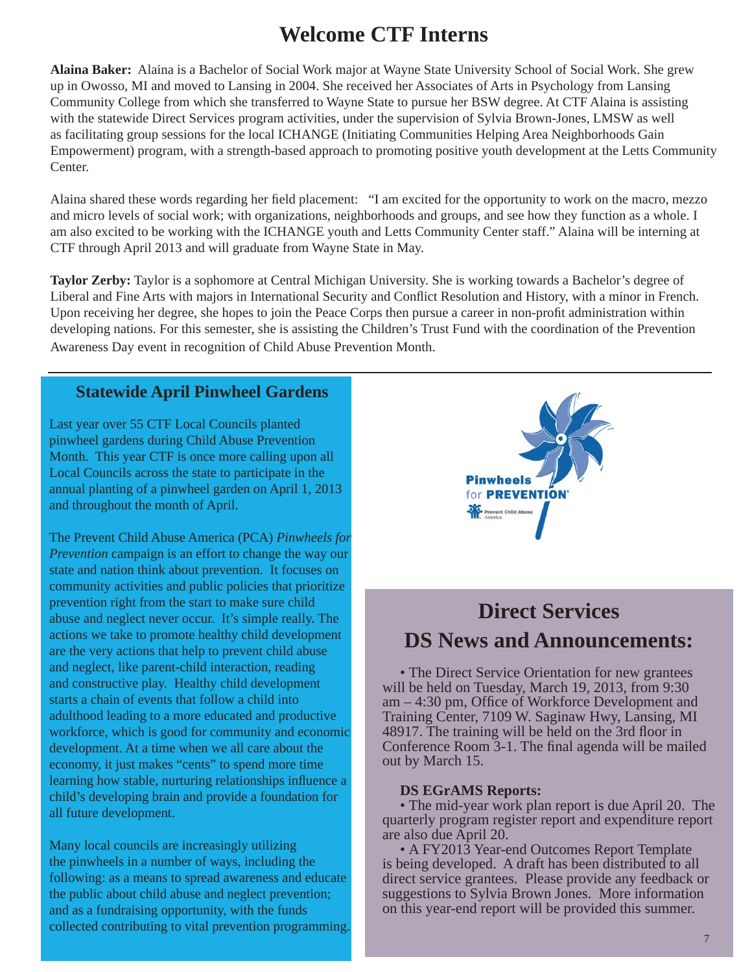## **Welcome CTF Interns**

**Alaina Baker:** Alaina is a Bachelor of Social Work major at Wayne State University School of Social Work. She grew up in Owosso, MI and moved to Lansing in 2004. She received her Associates of Arts in Psychology from Lansing Community College from which she transferred to Wayne State to pursue her BSW degree. At CTF Alaina is assisting with the statewide Direct Services program activities, under the supervision of Sylvia Brown-Jones, LMSW as well as facilitating group sessions for the local ICHANGE (Initiating Communities Helping Area Neighborhoods Gain Empowerment) program, with a strength-based approach to promoting positive youth development at the Letts Community Center.

Alaina shared these words regarding her field placement: "I am excited for the opportunity to work on the macro, mezzo and micro levels of social work; with organizations, neighborhoods and groups, and see how they function as a whole. I am also excited to be working with the ICHANGE youth and Letts Community Center staff." Alaina will be interning at CTF through April 2013 and will graduate from Wayne State in May.

**Taylor Zerby:** Taylor is a sophomore at Central Michigan University. She is working towards a Bachelor's degree of Liberal and Fine Arts with majors in International Security and Conflict Resolution and History, with a minor in French. Upon receiving her degree, she hopes to join the Peace Corps then pursue a career in non-profi t administration within developing nations. For this semester, she is assisting the Children's Trust Fund with the coordination of the Prevention Awareness Day event in recognition of Child Abuse Prevention Month.

## **Statewide April Pinwheel Gardens**

Last year over 55 CTF Local Councils planted pinwheel gardens during Child Abuse Prevention Month. This year CTF is once more calling upon all Local Councils across the state to participate in the annual planting of a pinwheel garden on April 1, 2013 and throughout the month of April.

The Prevent Child Abuse America (PCA) *Pinwheels for Prevention* campaign is an effort to change the way our state and nation think about prevention. It focuses on community activities and public policies that prioritize prevention right from the start to make sure child abuse and neglect never occur. It's simple really. The actions we take to promote healthy child development are the very actions that help to prevent child abuse and neglect, like parent-child interaction, reading and constructive play. Healthy child development starts a chain of events that follow a child into adulthood leading to a more educated and productive workforce, which is good for community and economic development. At a time when we all care about the economy, it just makes "cents" to spend more time learning how stable, nurturing relationships influence a child's developing brain and provide a foundation for all future development.

Many local councils are increasingly utilizing the pinwheels in a number of ways, including the following: as a means to spread awareness and educate the public about child abuse and neglect prevention; and as a fundraising opportunity, with the funds collected contributing to vital prevention programming.



# **Direct Services DS News and Announcements:**

• The Direct Service Orientation for new grantees will be held on Tuesday, March 19, 2013, from 9:30  $am - 4:30$  pm, Office of Workforce Development and Training Center, 7109 W. Saginaw Hwy, Lansing, MI 48917. The training will be held on the 3rd floor in Conference Room 3-1. The final agenda will be mailed out by March 15.

### **DS EGrAMS Reports:**

• The mid-year work plan report is due April 20. The quarterly program register report and expenditure report are also due April 20.

• A FY2013 Year-end Outcomes Report Template is being developed. A draft has been distributed to all direct service grantees. Please provide any feedback or suggestions to Sylvia Brown Jones. More information on this year-end report will be provided this summer.